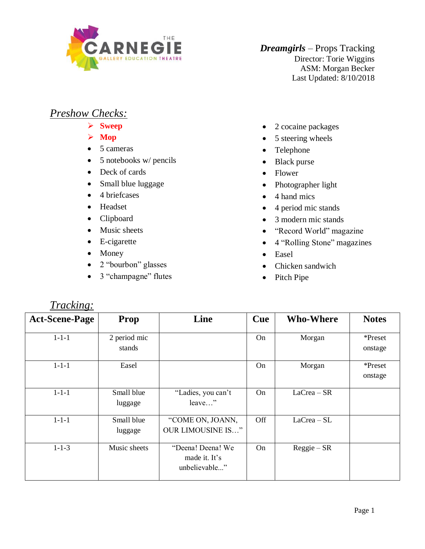

*Dreamgirls* – Props Tracking Director: Torie Wiggins ASM: Morgan Becker Last Updated: 8/10/2018

## *Preshow Checks:*

- ➢ **Sweep**
- ➢ **Mop**
- 5 cameras
- 5 notebooks w/ pencils
- Deck of cards
- Small blue luggage
- 4 briefcases
- Headset
- Clipboard
- Music sheets
- E-cigarette
- Money

*Tracking:*

- 2 "bourbon" glasses
- 3 "champagne" flutes
- 2 cocaine packages
- 5 steering wheels
- Telephone
- Black purse
- Flower
- Photographer light
- 4 hand mics
- 4 period mic stands
- 3 modern mic stands
- "Record World" magazine
- 4 "Rolling Stone" magazines
- Easel
- Chicken sandwich
- Pitch Pipe

| <b>Act-Scene-Page</b> | Prop                   | Line                                                | Cue | <b>Who-Where</b> | <b>Notes</b>       |
|-----------------------|------------------------|-----------------------------------------------------|-----|------------------|--------------------|
| $1 - 1 - 1$           | 2 period mic<br>stands |                                                     | On  | Morgan           | *Preset<br>onstage |
| $1 - 1 - 1$           | Easel                  |                                                     | On  | Morgan           | *Preset<br>onstage |
| $1 - 1 - 1$           | Small blue<br>luggage  | "Ladies, you can't<br>leave"                        | On  | $LaCrea - SR$    |                    |
| $1 - 1 - 1$           | Small blue<br>luggage  | "COME ON, JOANN,<br><b>OUR LIMOUSINE IS"</b>        | Off | $LaCrea-SL$      |                    |
| $1 - 1 - 3$           | Music sheets           | "Deena! Deena! We<br>made it. It's<br>unbelievable" | On  | $Reggie - SR$    |                    |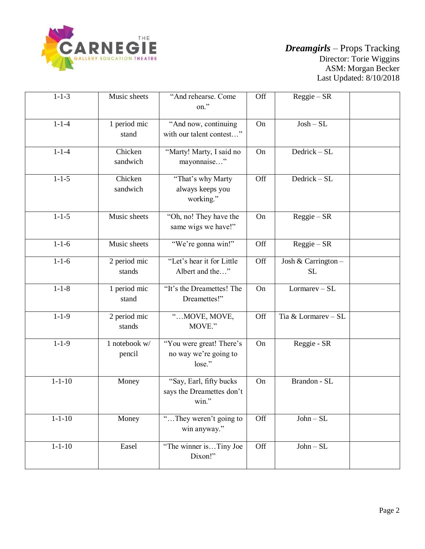

| $1 - 1 - 3$  | Music sheets            | "And rehearse. Come<br>on."                                      | Off | $Reggie - SR$                   |  |
|--------------|-------------------------|------------------------------------------------------------------|-----|---------------------------------|--|
| $1 - 1 - 4$  | 1 period mic<br>stand   | "And now, continuing<br>with our talent contest"                 | On  | $Josh-SL$                       |  |
| $1 - 1 - 4$  | Chicken<br>sandwich     | "Marty! Marty, I said no<br>mayonnaise"                          | On  | Dedrick - SL                    |  |
| $1 - 1 - 5$  | Chicken<br>sandwich     | "That's why Marty<br>always keeps you<br>working."               | Off | Dedrick - SL                    |  |
| $1 - 1 - 5$  | Music sheets            | "Oh, no! They have the<br>same wigs we have!"                    | On  | $Reggie - SR$                   |  |
| $1 - 1 - 6$  | Music sheets            | "We're gonna win!"                                               | Off | $Reggie - SR$                   |  |
| $1 - 1 - 6$  | 2 period mic<br>stands  | "Let's hear it for Little<br>Albert and the"                     | Off | Josh & Carrington -<br>$\rm SL$ |  |
| $1 - 1 - 8$  | 1 period mic<br>stand   | "It's the Dreamettes! The<br>Dreamettes!"                        | On  | $Lormarev-SL$                   |  |
| $1 - 1 - 9$  | 2 period mic<br>stands  | " MOVE, MOVE,<br>MOVE."                                          | Off | Tia & Lormarev - SL             |  |
| $1 - 1 - 9$  | 1 notebook w/<br>pencil | "You were great! There's<br>no way we're going to<br>lose."      | On  | Reggie - SR                     |  |
| $1 - 1 - 10$ | Money                   | "Say, Earl, fifty bucks<br>says the Dreamettes don't<br>$win.$ " | On  | Brandon - SL                    |  |
| $1 - 1 - 10$ | Money                   | "They weren't going to<br>win anyway."                           | Off | $John-SL$                       |  |
| $1 - 1 - 10$ | Easel                   | "The winner isTiny Joe<br>Dixon!"                                | Off | $John-SL$                       |  |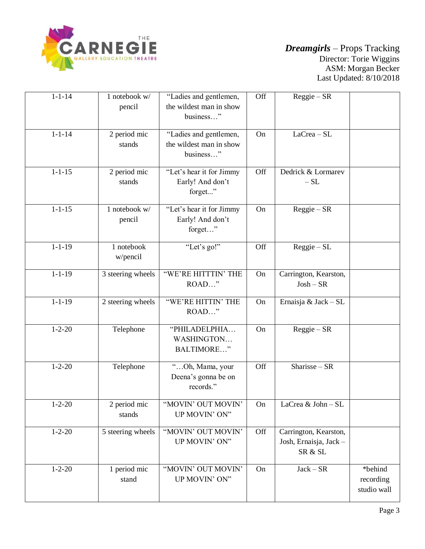

| $1 - 1 - 14$ | 1 notebook w/<br>pencil | "Ladies and gentlemen,<br>the wildest man in show<br>business" | Off | $Reggie - SR$                                              |                                     |
|--------------|-------------------------|----------------------------------------------------------------|-----|------------------------------------------------------------|-------------------------------------|
| $1 - 1 - 14$ | 2 period mic<br>stands  | "Ladies and gentlemen,<br>the wildest man in show<br>business" | On  | $LaCrea-SL$                                                |                                     |
| $1 - 1 - 15$ | 2 period mic<br>stands  | "Let's hear it for Jimmy<br>Early! And don't<br>forget"        | Off | Dedrick & Lormarev<br>$-SL$                                |                                     |
| $1 - 1 - 15$ | 1 notebook w/<br>pencil | "Let's hear it for Jimmy<br>Early! And don't<br>forget"        | On  | $Reggie - SR$                                              |                                     |
| $1 - 1 - 19$ | 1 notebook<br>w/pencil  | "Let's go!"                                                    | Off | $Reggie-SL$                                                |                                     |
| $1 - 1 - 19$ | 3 steering wheels       | "WE'RE HITTIN' THE<br>ROAD"                                    | On  | Carrington, Kearston,<br>$Josh - SR$                       |                                     |
| $1 - 1 - 19$ | 2 steering wheels       | "WE'RE HITTIN' THE<br>ROAD"                                    | On  | Ernaisja & Jack - SL                                       |                                     |
| $1 - 2 - 20$ | Telephone               | "PHILADELPHIA<br>WASHINGTON<br>BALTIMORE"                      | On  | $Reggie - SR$                                              |                                     |
| $1 - 2 - 20$ | Telephone               | "Oh, Mama, your<br>Deena's gonna be on<br>records."            | Off | $Sharisse - SR$                                            |                                     |
| $1 - 2 - 20$ | 2 period mic<br>stands  | "MOVIN' OUT MOVIN'<br>UP MOVIN' ON"                            | On  | LaCrea & John - SL                                         |                                     |
| $1 - 2 - 20$ | 5 steering wheels       | "MOVIN' OUT MOVIN'<br>UP MOVIN' ON"                            | Off | Carrington, Kearston,<br>Josh, Ernaisja, Jack -<br>SR & SL |                                     |
| $1 - 2 - 20$ | 1 period mic<br>stand   | "MOVIN' OUT MOVIN'<br>UP MOVIN' ON"                            | On  | $Jack - SR$                                                | *behind<br>recording<br>studio wall |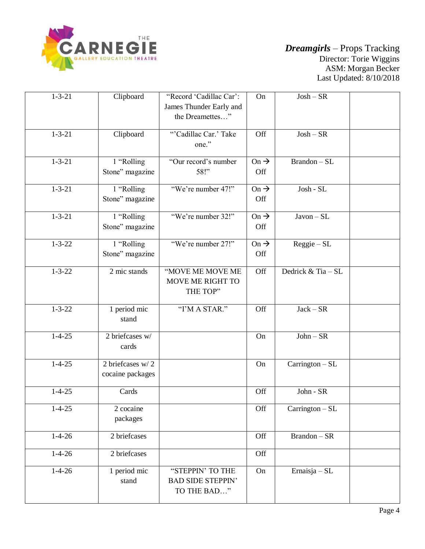

| $1 - 3 - 21$ | Clipboard                            | "Record 'Cadillac Car':<br>James Thunder Early and<br>the Dreamettes" | On                      | $Josh - SR$        |  |
|--------------|--------------------------------------|-----------------------------------------------------------------------|-------------------------|--------------------|--|
| $1 - 3 - 21$ | Clipboard                            | "Cadillac Car.' Take<br>one."                                         | Off                     | $Josh - SR$        |  |
| $1 - 3 - 21$ | 1 "Rolling<br>Stone" magazine        | "Our record's number<br>58!"                                          | On $\rightarrow$<br>Off | Brandon - SL       |  |
| $1 - 3 - 21$ | 1 "Rolling<br>Stone" magazine        | "We're number 47!"                                                    | $On \rightarrow$<br>Off | Josh - SL          |  |
| $1 - 3 - 21$ | 1 "Rolling<br>Stone" magazine        | "We're number 32!"                                                    | On $\rightarrow$<br>Off | $Javon-SL$         |  |
| $1 - 3 - 22$ | 1 "Rolling<br>Stone" magazine        | "We're number 27!"                                                    | On $\rightarrow$<br>Off | $Reggie-SL$        |  |
| $1 - 3 - 22$ | 2 mic stands                         | "MOVE ME MOVE ME<br>MOVE ME RIGHT TO<br>THE TOP"                      | Off                     | Dedrick & Tia - SL |  |
| $1 - 3 - 22$ | 1 period mic<br>stand                | "I'M A STAR."                                                         | Off                     | $Jack - SR$        |  |
| $1 - 4 - 25$ | 2 briefcases w/<br>cards             |                                                                       | On                      | $John - SR$        |  |
| $1 - 4 - 25$ | 2 briefcases w/2<br>cocaine packages |                                                                       | On                      | Carrington - SL    |  |
| $1 - 4 - 25$ | Cards                                |                                                                       | Off                     | John - SR          |  |
| $1 - 4 - 25$ | 2 cocaine<br>packages                |                                                                       | Off                     | Carrington - SL    |  |
| $1 - 4 - 26$ | 2 briefcases                         |                                                                       | Off                     | Brandon - SR       |  |
| $1 - 4 - 26$ | 2 briefcases                         |                                                                       | Off                     |                    |  |
| $1 - 4 - 26$ | 1 period mic<br>stand                | "STEPPIN' TO THE<br><b>BAD SIDE STEPPIN'</b><br>TO THE BAD"           | On                      | Ernaisja – SL      |  |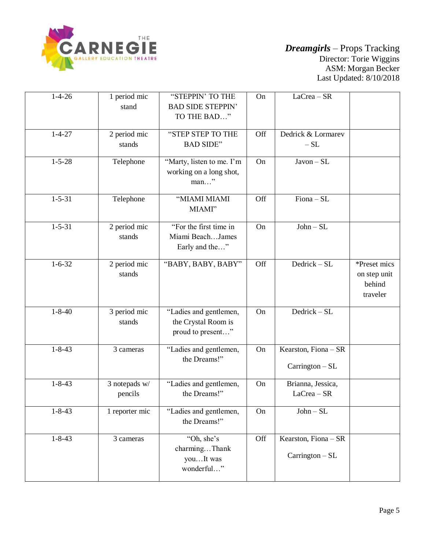

| $1 - 4 - 26$ | 1 period mic<br>stand    | "STEPPIN' TO THE<br><b>BAD SIDE STEPPIN'</b><br>TO THE BAD"        | On  | $LaCrea - SR$                             |                                                    |
|--------------|--------------------------|--------------------------------------------------------------------|-----|-------------------------------------------|----------------------------------------------------|
| $1 - 4 - 27$ | 2 period mic<br>stands   | "STEP STEP TO THE<br><b>BAD SIDE"</b>                              | Off | Dedrick & Lormarev<br>$-SL$               |                                                    |
| $1 - 5 - 28$ | Telephone                | "Marty, listen to me. I'm<br>working on a long shot,<br>$man$ "    | On  | $Javon-SL$                                |                                                    |
| $1 - 5 - 31$ | Telephone                | "MIAMI MIAMI<br>MIAMI"                                             | Off | $Fiona - SL$                              |                                                    |
| $1 - 5 - 31$ | 2 period mic<br>stands   | "For the first time in<br>Miami BeachJames<br>Early and the"       | On  | $John-SL$                                 |                                                    |
| $1 - 6 - 32$ | 2 period mic<br>stands   | "BABY, BABY, BABY"                                                 | Off | Dedrick - SL                              | *Preset mics<br>on step unit<br>behind<br>traveler |
| $1 - 8 - 40$ | 3 period mic<br>stands   | "Ladies and gentlemen,<br>the Crystal Room is<br>proud to present" | On  | Dedrick - SL                              |                                                    |
| $1 - 8 - 43$ | 3 cameras                | "Ladies and gentlemen,<br>the Dreams!"                             | On  | Kearston, Fiona - SR<br>$Carrington - SL$ |                                                    |
| $1 - 8 - 43$ | 3 notepads w/<br>pencils | "Ladies and gentlemen,<br>the Dreams!"                             | On  | Brianna, Jessica,<br>$LaCrea - SR$        |                                                    |
| $1 - 8 - 43$ | 1 reporter mic           | "Ladies and gentlemen,<br>the Dreams!"                             | On  | $John - SL$                               |                                                    |
| $1 - 8 - 43$ | 3 cameras                | "Oh, she's<br>charmingThank<br>youIt was<br>wonderful"             | Off | Kearston, Fiona - SR<br>Carrington - SL   |                                                    |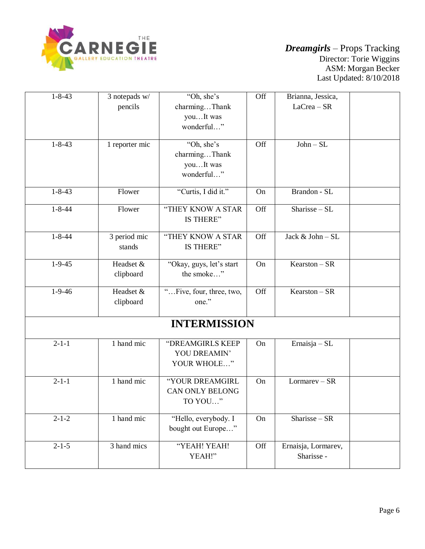

| $1 - 8 - 43$ |                          | "Oh, she's                                             | Off |                                    |  |
|--------------|--------------------------|--------------------------------------------------------|-----|------------------------------------|--|
|              | 3 notepads w/<br>pencils | charmingThank<br>youIt was<br>wonderful"               |     | Brianna, Jessica,<br>$LaCrea - SR$ |  |
| $1 - 8 - 43$ | 1 reporter mic           | "Oh, she's<br>charmingThank<br>youIt was<br>wonderful" | Off | $John-SL$                          |  |
| $1 - 8 - 43$ | Flower                   | "Curtis, I did it."                                    | On  | Brandon - SL                       |  |
| $1 - 8 - 44$ | Flower                   | "THEY KNOW A STAR<br>IS THERE"                         | Off | Sharisse-SL                        |  |
| $1 - 8 - 44$ | 3 period mic<br>stands   | "THEY KNOW A STAR<br>IS THERE"                         | Off | Jack & John - SL                   |  |
| $1 - 9 - 45$ | Headset &<br>clipboard   | "Okay, guys, let's start<br>the smoke"                 | On  | $Kearston - SR$                    |  |
| $1 - 9 - 46$ | Headset &<br>clipboard   | "Five, four, three, two,<br>one."                      | Off | $Kearston - SR$                    |  |
|              |                          | <b>INTERMISSION</b>                                    |     |                                    |  |
| $2 - 1 - 1$  | 1 hand mic               | "DREAMGIRLS KEEP<br>YOU DREAMIN'<br>YOUR WHOLE"        | On  | Ernaisja – $SL$                    |  |
| $2 - 1 - 1$  | 1 hand mic               | "YOUR DREAMGIRL<br><b>CAN ONLY BELONG</b><br>TO YOU"   | On  | $Lormarev - SR$                    |  |
| $2 - 1 - 2$  | 1 hand mic               | "Hello, everybody. I<br>bought out Europe"             | On  | Sharisse - SR                      |  |
| $2 - 1 - 5$  | 3 hand mics              | "YEAH! YEAH!<br>YEAH!"                                 | Off | Ernaisja, Lormarev,<br>Sharisse -  |  |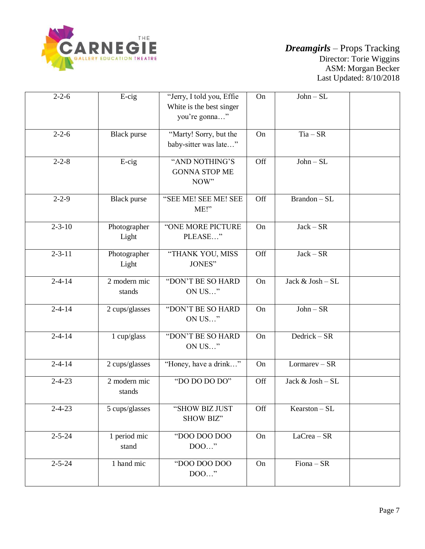

| $2 - 2 - 6$  | $E$ -cig                 | "Jerry, I told you, Effie<br>White is the best singer<br>you're gonna" | On  | $John-SL$        |  |
|--------------|--------------------------|------------------------------------------------------------------------|-----|------------------|--|
| $2 - 2 - 6$  | <b>Black</b> purse       | "Marty! Sorry, but the<br>baby-sitter was late"                        | On  | $Tia - SR$       |  |
| $2 - 2 - 8$  | $E$ -cig                 | "AND NOTHING'S<br><b>GONNA STOP ME</b><br>NOW"                         | Off | $John-SL$        |  |
| $2 - 2 - 9$  | <b>Black</b> purse       | "SEE ME! SEE ME! SEE<br>ME!"                                           | Off | Brandon - SL     |  |
| $2 - 3 - 10$ | Photographer<br>Light    | "ONE MORE PICTURE<br>PLEASE"                                           | On  | $Jack - SR$      |  |
| $2 - 3 - 11$ | Photographer<br>Light    | "THANK YOU, MISS<br>JONES"                                             | Off | $Jack - SR$      |  |
| $2 - 4 - 14$ | 2 modern mic<br>stands   | "DON'T BE SO HARD<br>ON US"                                            | On  | Jack & Josh - SL |  |
| $2 - 4 - 14$ | 2 cups/glasses           | "DON'T BE SO HARD<br>ON US"                                            | On  | $John - SR$      |  |
| $2 - 4 - 14$ | 1 cup/glass              | "DON'T BE SO HARD<br>ON US"                                            | On  | Dedrick $-SR$    |  |
| $2 - 4 - 14$ | 2 cups/glasses           | "Honey, have a drink"                                                  | On  | $Lormarev - SR$  |  |
| $2 - 4 - 23$ | $2$ modern mic<br>stands | "DO DO DO DO"                                                          | Off | Jack & Josh - SL |  |
| $2 - 4 - 23$ | 5 cups/glasses           | "SHOW BIZ JUST<br>SHOW BIZ"                                            | Off | $Kearston-SL$    |  |
| $2 - 5 - 24$ | 1 period mic<br>stand    | "DOO DOO DOO<br>$DOO$ "                                                | On  | $LaCrea - SR$    |  |
| $2 - 5 - 24$ | 1 hand mic               | "DOO DOO DOO<br>DOO"                                                   | On  | Fiona - SR       |  |